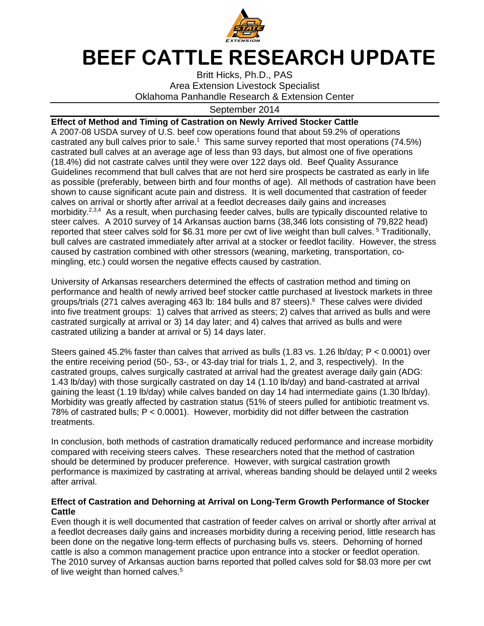

## **BEEF CATTLE RESEARCH UPDATE**

Britt Hicks, Ph.D., PAS Area Extension Livestock Specialist Oklahoma Panhandle Research & Extension Center

## September 2014

## **Effect of Method and Timing of Castration on Newly Arrived Stocker Cattle**

A 2007-08 USDA survey of U.S. beef cow operations found that about 59.2% of operations castrated any bull calves prior to sale.<sup>1</sup> This same survey reported that most operations (74.5%) castrated bull calves at an average age of less than 93 days, but almost one of five operations (18.4%) did not castrate calves until they were over 122 days old. Beef Quality Assurance Guidelines recommend that bull calves that are not herd sire prospects be castrated as early in life as possible (preferably, between birth and four months of age). All methods of castration have been shown to cause significant acute pain and distress. It is well documented that castration of feeder calves on arrival or shortly after arrival at a feedlot decreases daily gains and increases morbidity.<sup>2,3,4</sup> As a result, when purchasing feeder calves, bulls are typically discounted relative to steer calves. A 2010 survey of 14 Arkansas auction barns (38,346 lots consisting of 79,822 head) reported that steer calves sold for \$6.31 more per cwt of live weight than bull calves.<sup>5</sup> Traditionally, bull calves are castrated immediately after arrival at a stocker or feedlot facility. However, the stress caused by castration combined with other stressors (weaning, marketing, transportation, comingling, etc.) could worsen the negative effects caused by castration.

University of Arkansas researchers determined the effects of castration method and timing on performance and health of newly arrived beef stocker cattle purchased at livestock markets in three groups/trials (271 calves averaging 463 lb: 184 bulls and 87 steers).<sup>6</sup> These calves were divided into five treatment groups: 1) calves that arrived as steers; 2) calves that arrived as bulls and were castrated surgically at arrival or 3) 14 day later; and 4) calves that arrived as bulls and were castrated utilizing a bander at arrival or 5) 14 days later.

Steers gained 45.2% faster than calves that arrived as bulls (1.83 vs. 1.26 lb/day; P < 0.0001) over the entire receiving period (50-, 53-, or 43-day trial for trials 1, 2, and 3, respectively). In the castrated groups, calves surgically castrated at arrival had the greatest average daily gain (ADG: 1.43 lb/day) with those surgically castrated on day 14 (1.10 lb/day) and band-castrated at arrival gaining the least (1.19 lb/day) while calves banded on day 14 had intermediate gains (1.30 lb/day). Morbidity was greatly affected by castration status (51% of steers pulled for antibiotic treatment vs. 78% of castrated bulls; P < 0.0001). However, morbidity did not differ between the castration treatments.

In conclusion, both methods of castration dramatically reduced performance and increase morbidity compared with receiving steers calves. These researchers noted that the method of castration should be determined by producer preference. However, with surgical castration growth performance is maximized by castrating at arrival, whereas banding should be delayed until 2 weeks after arrival.

## **Effect of Castration and Dehorning at Arrival on Long-Term Growth Performance of Stocker Cattle**

Even though it is well documented that castration of feeder calves on arrival or shortly after arrival at a feedlot decreases daily gains and increases morbidity during a receiving period, little research has been done on the negative long-term effects of purchasing bulls vs. steers. Dehorning of horned cattle is also a common management practice upon entrance into a stocker or feedlot operation. The 2010 survey of Arkansas auction barns reported that polled calves sold for \$8.03 more per cwt of live weight than horned calves.<sup>5</sup>